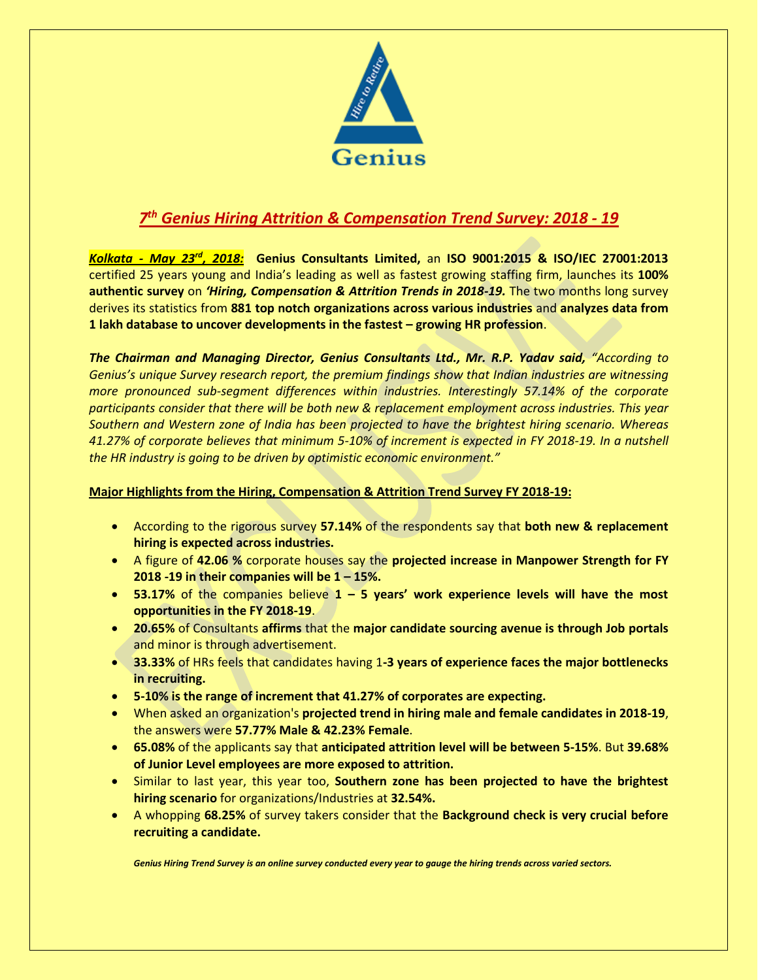

## *7 th Genius Hiring Attrition & Compensation Trend Survey: 2018 - 19*

*Kolkata - May 23rd, 2018:* **Genius Consultants Limited,** an **ISO 9001:2015 & ISO/IEC 27001:2013**  certified 25 years young and India's leading as well as fastest growing staffing firm, launches its **100% authentic survey** on *'Hiring, Compensation & Attrition Trends in 2018-19.* The two months long survey derives its statistics from **881 top notch organizations across various industries** and **analyzes data from 1 lakh database to uncover developments in the fastest – growing HR profession**.

*The Chairman and Managing Director, Genius Consultants Ltd., Mr. R.P. Yadav said, "According to Genius's unique Survey research report, the premium findings show that Indian industries are witnessing more pronounced sub-segment differences within industries. Interestingly 57.14% of the corporate participants consider that there will be both new & replacement employment across industries. This year Southern and Western zone of India has been projected to have the brightest hiring scenario. Whereas 41.27% of corporate believes that minimum 5-10% of increment is expected in FY 2018-19. In a nutshell the HR industry is going to be driven by optimistic economic environment."*

## **Major Highlights from the Hiring, Compensation & Attrition Trend Survey FY 2018-19:**

- According to the rigorous survey **57.14%** of the respondents say that **both new & replacement hiring is expected across industries.**
- A figure of **42.06 %** corporate houses say the **projected increase in Manpower Strength for FY 2018 -19 in their companies will be 1 – 15%.**
- **53.17%** of the companies believe **1 – 5 years' work experience levels will have the most opportunities in the FY 2018-19**.
- **20.65%** of Consultants **affirms** that the **major candidate sourcing avenue is through Job portals** and minor is through advertisement.
- **33.33%** of HRs feels that candidates having 1**-3 years of experience faces the major bottlenecks in recruiting.**
- **5-10% is the range of increment that 41.27% of corporates are expecting.**
- When asked an organization's **projected trend in hiring male and female candidates in 2018-19**, the answers were **57.77% Male & 42.23% Female**.
- **65.08%** of the applicants say that **anticipated attrition level will be between 5-15%**. But **39.68% of Junior Level employees are more exposed to attrition.**
- Similar to last year, this year too, **Southern zone has been projected to have the brightest hiring scenario** for organizations/Industries at **32.54%.**
- A whopping **68.25%** of survey takers consider that the **Background check is very crucial before recruiting a candidate.**

*[Genius Hiring Trend Survey](http://economictimes.indiatimes.com/topic/Genius%20Hiring%20Trend%20Survey) is an online survey conducted every year to gauge the hiring trends across varied sectors.*